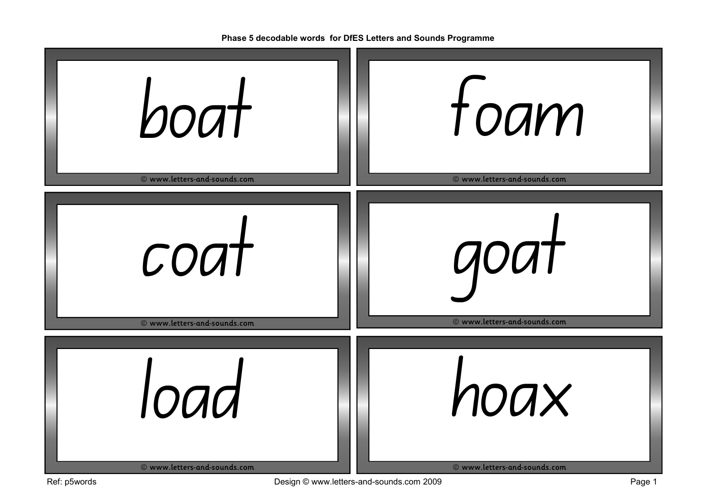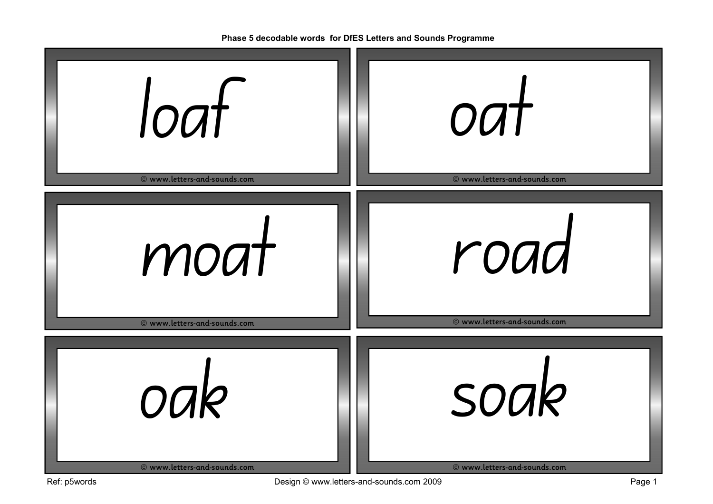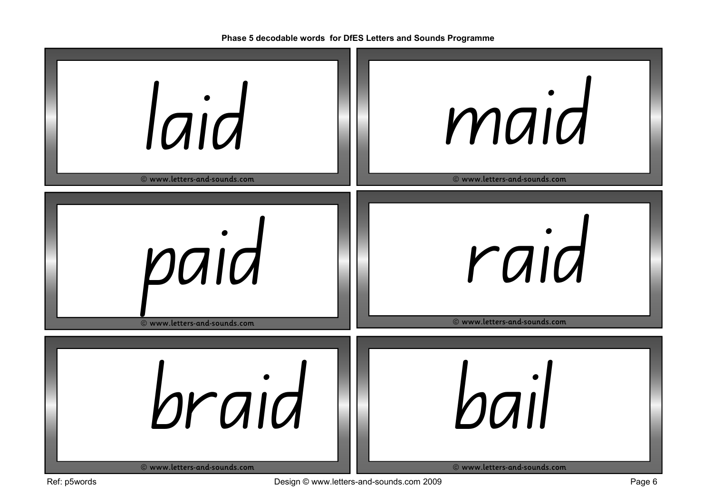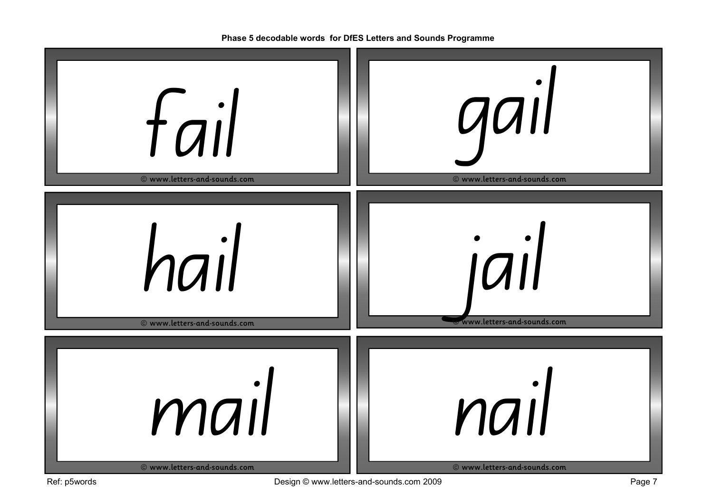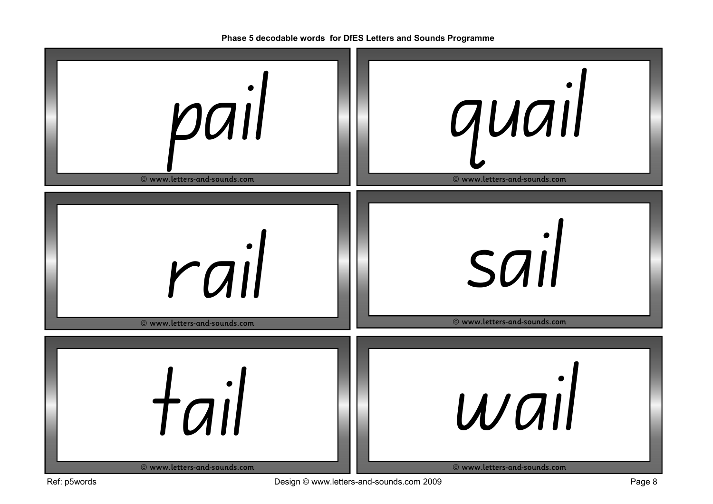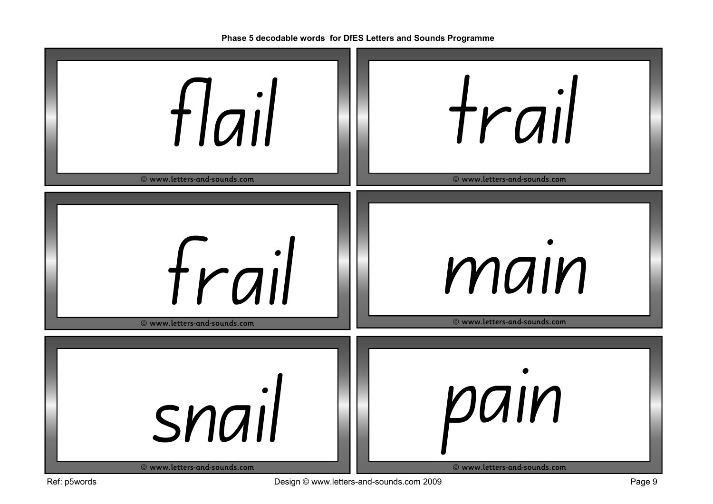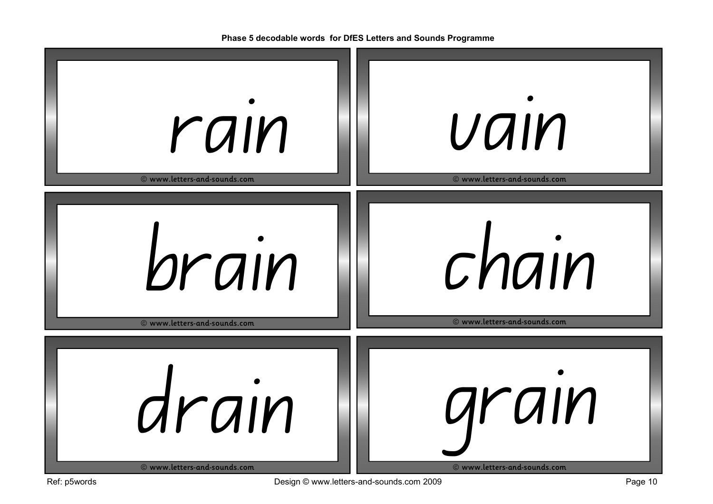